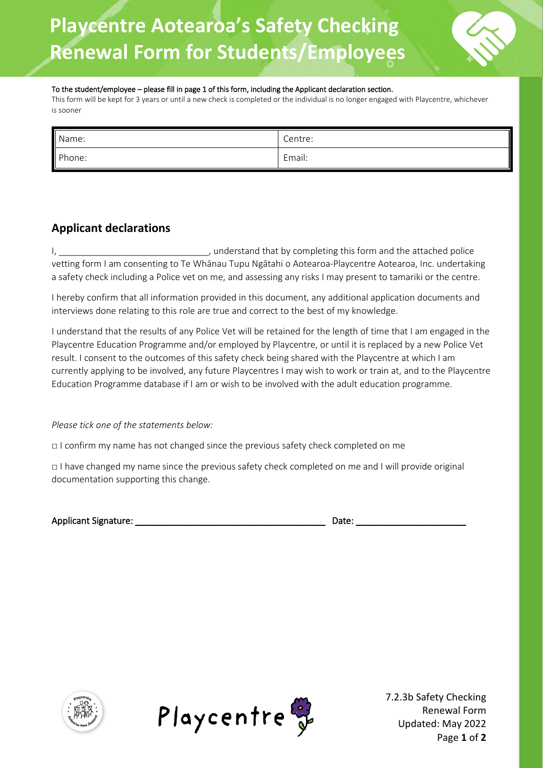## **Playcentre Aotearoa's Safety Checking Renewal Form for Students/Employees**

#### To the student/employee – please fill in page 1 of this form, including the Applicant declaration section.

This form will be kept for 3 years or until a new check is completed or the individual is no longer engaged with Playcentre, whichever is sooner

| Name:  | Centre: |
|--------|---------|
| Phone: | Email:  |

### **Applicant declarations**

I, \_\_\_\_\_\_\_\_\_\_\_\_\_\_\_\_\_\_\_\_\_\_\_\_\_\_\_\_\_\_\_\_\_, understand that by completing this form and the attached police vetting form I am consenting to Te Whānau Tupu Ngātahi o Aotearoa-Playcentre Aotearoa, Inc. undertaking a safety check including a Police vet on me, and assessing any risks I may present to tamariki or the centre.

I hereby confirm that all information provided in this document, any additional application documents and interviews done relating to this role are true and correct to the best of my knowledge.

I understand that the results of any Police Vet will be retained for the length of time that I am engaged in the Playcentre Education Programme and/or employed by Playcentre, or until it is replaced by a new Police Vet result. I consent to the outcomes of this safety check being shared with the Playcentre at which I am currently applying to be involved, any future Playcentres I may wish to work or train at, and to the Playcentre Education Programme database if I am or wish to be involved with the adult education programme.

*Please tick one of the statements below:*

□ I confirm my name has not changed since the previous safety check completed on me

□ I have changed my name since the previous safety check completed on me and I will provide original documentation supporting this change.

| <b>Applicant Signature:</b> | Date: |  |
|-----------------------------|-------|--|
|                             |       |  |

| )ate: |  |  |
|-------|--|--|
|       |  |  |





7.2.3b Safety Checking Renewal Form Updated: May 2022 Page **1** of **2**